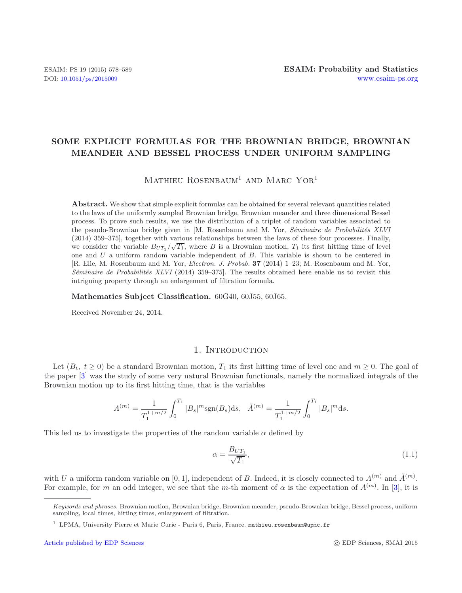# **SOME EXPLICIT FORMULAS FOR THE BROWNIAN BRIDGE, BROWNIAN MEANDER AND BESSEL PROCESS UNDER UNIFORM SAMPLING**

# MATHIEU ROSENBAUM<sup>1</sup> AND MARC YOR<sup>1</sup>

**Abstract.** We show that simple explicit formulas can be obtained for several relevant quantities related to the laws of the uniformly sampled Brownian bridge, Brownian meander and three dimensional Bessel process. To prove such results, we use the distribution of a triplet of random variables associated to the pseudo-Brownian bridge given in [M. Rosenbaum and M. Yor, *Séminaire de Probabilités XLVI* (2014) 359–375], together with various relationships between the laws of these four processes. Finally, we consider the variable  $B_{UT_1}/\sqrt{T_1}$ , where *B* is a Brownian motion,  $T_1$  its first hitting time of level one and *U* a uniform random variable independent of *B*. This variable is shown to be centered in [R. Elie, M. Rosenbaum and M. Yor, *Electron. J. Probab.* **37** (2014) 1–23; M. Rosenbaum and M. Yor, *Séminaire de Probabilités XLVI* (2014) 359–375. The results obtained here enable us to revisit this intriguing property through an enlargement of filtration formula.

**Mathematics Subject Classification.** 60G40, 60J55, 60J65.

Received November 24, 2014.

## 1. INTRODUCTION

Let  $(B_t, t \geq 0)$  be a standard Brownian motion,  $T_1$  its first hitting time of level one and  $m \geq 0$ . The goal of the paper [\[3\]](#page-11-0) was the study of some very natural Brownian functionals, namely the normalized integrals of the Brownian motion up to its first hitting time, that is the variables

$$
A^{(m)} = \frac{1}{T_1^{1+m/2}} \int_0^{T_1} |B_s|^m \text{sgn}(B_s) \text{d}s, \quad \tilde{A}^{(m)} = \frac{1}{T_1^{1+m/2}} \int_0^{T_1} |B_s|^m \text{d}s.
$$

This led us to investigate the properties of the random variable  $\alpha$  defined by

$$
\alpha = \frac{B_{UT_1}}{\sqrt{T_1}},\tag{1.1}
$$

with U a uniform random variable on [0, 1], independent of B. Indeed, it is closely connected to  $A^{(m)}$  and  $\tilde{A}^{(m)}$ . For example, for m an odd integer, we see that the m-th moment of  $\alpha$  is the expectation of  $A^{(m)}$ . In [\[3\]](#page-11-0), it is

*Keywords and phrases.* Brownian motion, Brownian bridge, Brownian meander, pseudo-Brownian bridge, Bessel process, uniform sampling, local times, hitting times, enlargement of filtration.

<sup>&</sup>lt;sup>1</sup> LPMA, University Pierre et Marie Curie - Paris 6, Paris, France. mathieu.rosenbaum@upmc.fr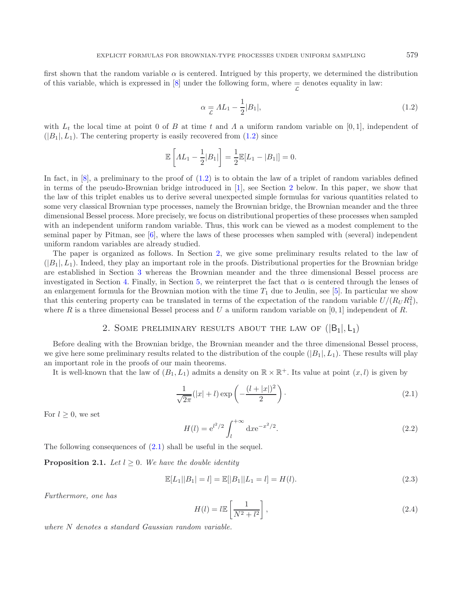first shown that the random variable  $\alpha$  is centered. Intrigued by this property, we determined the distribution of this variable, which is expressed in [\[8](#page-11-1)] under the following form, where  $\frac{1}{\mathcal{L}}$  denotes equality in law:

<span id="page-1-0"></span>
$$
\alpha \equiv \Lambda L_1 - \frac{1}{2}|B_1|,\tag{1.2}
$$

with  $L_t$  the local time at point 0 of B at time t and A a uniform random variable on [0,1], independent of  $(|B_1|, L_1)$ . The centering property is easily recovered from  $(1.2)$  since

<span id="page-1-2"></span>
$$
\mathbb{E}\left[AL_1 - \frac{1}{2}|B_1|\right] = \frac{1}{2}\mathbb{E}[L_1 - |B_1|] = 0.
$$

In fact, in  $[8]$ , a preliminary to the proof of  $(1.2)$  is to obtain the law of a triplet of random variables defined in terms of the pseudo-Brownian bridge introduced in [\[1](#page-11-2)], see Section [2](#page-1-1) below. In this paper, we show that the law of this triplet enables us to derive several unexpected simple formulas for various quantities related to some very classical Brownian type processes, namely the Brownian bridge, the Brownian meander and the three dimensional Bessel process. More precisely, we focus on distributional properties of these processes when sampled with an independent uniform random variable. Thus, this work can be viewed as a modest complement to the seminal paper by Pitman, see [\[6](#page-11-3)], where the laws of these processes when sampled with (several) independent uniform random variables are already studied.

<span id="page-1-5"></span>The paper is organized as follows. In Section [2,](#page-1-1) we give some preliminary results related to the law of  $(|B_1|, L_1)$ . Indeed, they play an important role in the proofs. Distributional properties for the Brownian bridge are established in Section [3](#page-2-0) whereas the Brownian meander and the three dimensional Bessel process are investigated in Section [4.](#page-6-0) Finally, in Section [5,](#page-7-0) we reinterpret the fact that  $\alpha$  is centered through the lenses of an enlargement formula for the Brownian motion with the time  $T_1$  due to Jeulin, see [\[5\]](#page-11-4). In particular we show that this centering property can be translated in terms of the expectation of the random variable  $U/(R_U R_1^2)$ , where R is a three dimensional Bessel process and U a uniform random variable on  $[0, 1]$  independent of R.

# 2. SOME PRELIMINARY RESULTS ABOUT THE LAW OF  $(|B_1|, L_1)$

<span id="page-1-1"></span>Before dealing with the Brownian bridge, the Brownian meander and the three dimensional Bessel process, we give here some preliminary results related to the distribution of the couple  $(|B_1|, L_1)$ . These results will play an important role in the proofs of our main theorems.

<span id="page-1-6"></span>It is well-known that the law of  $(B_1, L_1)$  admits a density on  $\mathbb{R} \times \mathbb{R}^+$ . Its value at point  $(x, l)$  is given by

<span id="page-1-3"></span>
$$
\frac{1}{\sqrt{2\pi}}(|x|+l)\exp\left(-\frac{(l+|x|)^2}{2}\right).
$$
\n(2.1)

For  $l > 0$ , we set

$$
H(l) = e^{l^2/2} \int_l^{+\infty} dx e^{-x^2/2}.
$$
 (2.2)

<span id="page-1-4"></span>The following consequences of [\(2.1\)](#page-1-2) shall be useful in the sequel.

**Proposition 2.1.** *Let*  $l \geq 0$ *. We have the double identity* 

$$
\mathbb{E}[L_1||B_1| = l] = \mathbb{E}[|B_1||L_1 = l] = H(l). \tag{2.3}
$$

*Furthermore, one has*

$$
H(l) = l \mathbb{E}\left[\frac{1}{N^2 + l^2}\right],\tag{2.4}
$$

*where* N *denotes a standard Gaussian random variable.*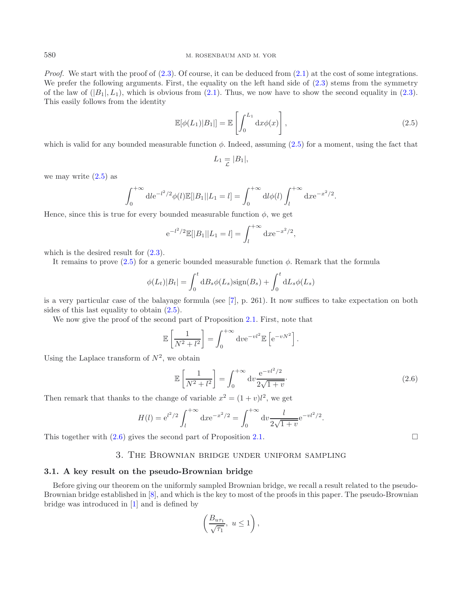<span id="page-2-1"></span>*Proof.* We start with the proof of [\(2.3\)](#page-1-3). Of course, it can be deduced from [\(2.1\)](#page-1-2) at the cost of some integrations. We prefer the following arguments. First, the equality on the left hand side of  $(2.3)$  stems from the symmetry of the law of  $(|B_1|, L_1)$ , which is obvious from [\(2.1\)](#page-1-2). Thus, we now have to show the second equality in [\(2.3\)](#page-1-3). This easily follows from the identity

$$
\mathbb{E}[\phi(L_1)|B_1|] = \mathbb{E}\left[\int_0^{L_1} \mathrm{d}x \phi(x)\right],\tag{2.5}
$$

which is valid for any bounded measurable function  $\phi$ . Indeed, assuming [\(2.5\)](#page-2-1) for a moment, using the fact that

$$
L_1 = |B_1|,
$$

we may write  $(2.5)$  as

$$
\int_0^{+\infty} \mathrm{d}l \, \mathrm{e}^{-l^2/2} \phi(l) \mathbb{E}[|B_1||L_1 = l] = \int_0^{+\infty} \mathrm{d}l \phi(l) \int_l^{+\infty} \mathrm{d}x \, \mathrm{e}^{-x^2/2}.
$$

Hence, since this is true for every bounded measurable function  $\phi$ , we get

<span id="page-2-2"></span>
$$
e^{-l^2/2}\mathbb{E}[|B_1||L_1=l] = \int_l^{+\infty} dx e^{-x^2/2},
$$

which is the desired result for  $(2.3)$ .

It remains to prove  $(2.5)$  for a generic bounded measurable function  $\phi$ . Remark that the formula

$$
\phi(L_t)|B_t| = \int_0^t \mathrm{d}B_s \phi(L_s) \mathrm{sign}(B_s) + \int_0^t \mathrm{d}L_s \phi(L_s)
$$

is a very particular case of the balayage formula (see [\[7\]](#page-11-5), p. 261). It now suffices to take expectation on both sides of this last equality to obtain [\(2.5\)](#page-2-1).

We now give the proof of the second part of Proposition [2.1.](#page-1-4) First, note that

$$
\mathbb{E}\left[\frac{1}{N^2 + l^2}\right] = \int_0^{+\infty} \mathrm{d}v \mathrm{e}^{-v l^2} \mathbb{E}\left[\mathrm{e}^{-v N^2}\right].
$$

Using the Laplace transform of  $N^2$ , we obtain

$$
\mathbb{E}\left[\frac{1}{N^2 + l^2}\right] = \int_0^{+\infty} dv \frac{e^{-vl^2/2}}{2\sqrt{1+v}}.
$$
\n(2.6)

Then remark that thanks to the change of variable  $x^2 = (1 + v)l^2$ , we get

$$
H(l) = e^{l^2/2} \int_l^{+\infty} dx e^{-x^2/2} = \int_0^{+\infty} dv \frac{l}{2\sqrt{1+v}} e^{-vl^2/2}.
$$

<span id="page-2-0"></span>This together with  $(2.6)$  gives the second part of Proposition [2.1.](#page-1-4)

## 3. The Brownian bridge under uniform sampling

## **3.1. A key result on the pseudo-Brownian bridge**

Before giving our theorem on the uniformly sampled Brownian bridge, we recall a result related to the pseudo-Brownian bridge established in [\[8\]](#page-11-1), and which is the key to most of the proofs in this paper. The pseudo-Brownian bridge was introduced in [\[1\]](#page-11-2) and is defined by

$$
\left(\frac{B_{u\tau_1}}{\sqrt{\tau_1}}, u \le 1\right),\,
$$

 $\Box$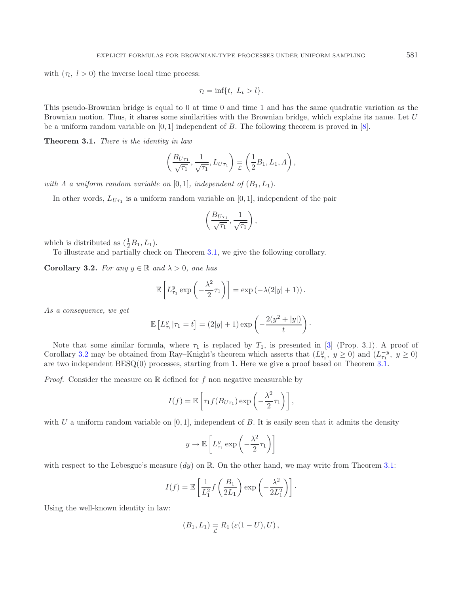with  $(\tau_l, l>0)$  the inverse local time process:

<span id="page-3-0"></span>
$$
\tau_l = \inf\{t, \ L_t > l\}.
$$

This pseudo-Brownian bridge is equal to 0 at time 0 and time 1 and has the same quadratic variation as the Brownian motion. Thus, it shares some similarities with the Brownian bridge, which explains its name. Let U be a uniform random variable on  $[0, 1]$  independent of B. The following theorem is proved in  $[8]$  $[8]$ .

**Theorem 3.1.** *There is the identity in law*

$$
\left(\frac{B_{U\tau_1}}{\sqrt{\tau_1}}, \frac{1}{\sqrt{\tau_1}}, L_{U\tau_1}\right) \equiv \left(\frac{1}{2}B_1, L_1, \Lambda\right),\,
$$

*with*  $\Lambda$  *a uniform random variable on* [0,1]*, independent of*  $(B_1, L_1)$ *.* 

In other words,  $L_{U_{\tau_1}}$  is a uniform random variable on [0, 1], independent of the pair

$$
\left(\frac{B_{U\tau_1}}{\sqrt{\tau_1}}, \frac{1}{\sqrt{\tau_1}}\right),\,
$$

<span id="page-3-1"></span>which is distributed as  $(\frac{1}{2}B_1, L_1)$ .

To illustrate and partially check on Theorem [3.1,](#page-3-0) we give the following corollary.

**Corollary 3.2.** *For any*  $y \in \mathbb{R}$  *and*  $\lambda > 0$ *, one has* 

$$
\mathbb{E}\left[L_{\tau_1}^y \exp\left(-\frac{\lambda^2}{2}\tau_1\right)\right] = \exp\left(-\lambda(2|y|+1)\right).
$$

*As a consequence, we get*

$$
\mathbb{E}\left[L_{\tau_1}^y|\tau_1=t\right] = (2|y|+1)\exp\left(-\frac{2(y^2+|y|)}{t}\right).
$$

Note that some similar formula, where  $\tau_1$  is replaced by  $T_1$ , is presented in [\[3](#page-11-0)] (Prop. 3.1). A proof of Corollary [3.2](#page-3-1) may be obtained from Ray–Knight's theorem which asserts that  $(L_{\tau_1}^y, y \ge 0)$  and  $(L_{\tau_1}^{-y}, y \ge 0)$ are two independent BESQ(0) processes, starting from 1. Here we give a proof based on Theorem [3.1.](#page-3-0)

*Proof.* Consider the measure on  $\mathbb R$  defined for f non negative measurable by

$$
I(f) = \mathbb{E}\left[\tau_1 f(B_{U\tau_1}) \exp\left(-\frac{\lambda^2}{2}\tau_1\right)\right],
$$

with U a uniform random variable on  $[0, 1]$ , independent of B. It is easily seen that it admits the density

$$
y \to \mathbb{E}\left[L_{\tau_1}^y \exp\left(-\frac{\lambda^2}{2}\tau_1\right)\right]
$$

with respect to the Lebesgue's measure  $(dy)$  on R. On the other hand, we may write from Theorem [3.1:](#page-3-0)

$$
I(f) = \mathbb{E}\left[\frac{1}{L_1^2}f\left(\frac{B_1}{2L_1}\right)\exp\left(-\frac{\lambda^2}{2L_1^2}\right)\right].
$$

Using the well-known identity in law:

$$
(B_1, L_1) = R_1 (\varepsilon (1-U), U),
$$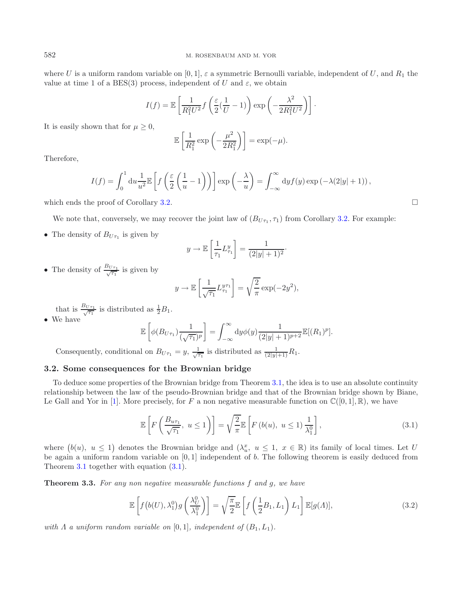where U is a uniform random variable on [0, 1],  $\varepsilon$  a symmetric Bernoulli variable, independent of U, and  $R_1$  the value at time 1 of a BES(3) process, independent of U and  $\varepsilon$ , we obtain

$$
I(f) = \mathbb{E}\left[\frac{1}{R_1^2 U^2} f\left(\frac{\varepsilon}{2}(\frac{1}{U}-1)\right) \exp\left(-\frac{\lambda^2}{2R_1^2 U^2}\right)\right].
$$

It is easily shown that for  $\mu \geq 0$ ,

$$
\mathbb{E}\left[\frac{1}{R_1^2}\exp\left(-\frac{\mu^2}{2R_1^2}\right)\right] = \exp(-\mu).
$$

Therefore,

$$
I(f) = \int_0^1 du \frac{1}{u^2} \mathbb{E}\left[f\left(\frac{\varepsilon}{2}\left(\frac{1}{u}-1\right)\right)\right] \exp\left(-\frac{\lambda}{u}\right) = \int_{-\infty}^{\infty} dy f(y) \exp\left(-\lambda(2|y|+1)\right),
$$

which ends the proof of Corollary [3.2.](#page-3-1)  $\Box$ 

We note that, conversely, we may recover the joint law of  $(B_{U\tau_1}, \tau_1)$  from Corollary [3.2.](#page-3-1) For example:

• The density of  $B_{U_{\tau_1}}$  is given by

$$
y \to \mathbb{E}\left[\frac{1}{\tau_1} L_{\tau_1}^y\right] = \frac{1}{(2|y|+1)^2}.
$$

• The density of  $\frac{B_{U\tau_1}}{\sqrt{\tau_1}}$  is given by

<span id="page-4-1"></span>
$$
y \to \mathbb{E}\left[\frac{1}{\sqrt{\tau_1}} L_{\tau_1}^{y\tau_1}\right] = \sqrt{\frac{2}{\pi}} \exp(-2y^2),
$$

that is  $\frac{B_{U\tau_1}}{\sqrt{\tau_1}}$  is distributed as  $\frac{1}{2}B_1$ .

• We have

$$
\mathbb{E}\left[\phi(B_{U\tau_1})\frac{1}{(\sqrt{\tau_1})^p}\right] = \int_{-\infty}^{\infty} dy \phi(y) \frac{1}{(2|y|+1)^{p+2}} \mathbb{E}[(R_1)^p].
$$

Consequently, conditional on  $B_{U\tau_1} = y$ ,  $\frac{1}{\sqrt{\tau_1}}$  is distributed as  $\frac{1}{(2|y|+1)}R_1$ .

# **3.2. Some consequences for the Brownian bridge**

To deduce some properties of the Brownian bridge from Theorem [3.1,](#page-3-0) the idea is to use an absolute continuity relationship between the law of the pseudo-Brownian bridge and that of the Brownian bridge shown by Biane, Le Gall and Yor in [\[1\]](#page-11-2). More precisely, for F a non negative measurable function on  $\mathbb{C}([0,1],\mathbb{R})$ , we have

$$
\mathbb{E}\left[F\left(\frac{B_{u\tau_1}}{\sqrt{\tau_1}}, u \le 1\right)\right] = \sqrt{\frac{2}{\pi}} \mathbb{E}\left[F\left(b(u), u \le 1\right) \frac{1}{\lambda_1^0}\right],\tag{3.1}
$$

where  $(b(u), u \le 1)$  denotes the Brownian bridge and  $(\lambda_u^x, u \le 1, x \in \mathbb{R})$  its family of local times. Let U be again a uniform random variable on  $[0, 1]$  independent of b. The following theorem is easily deduced from Theorem [3.1](#page-3-0) together with equation [\(3.1\)](#page-4-0).

<span id="page-4-2"></span>**Theorem 3.3.** *For any non negative measurable functions* f *and* g*, we have*

$$
\mathbb{E}\left[f\left(b(U),\lambda_1^0\right)g\left(\frac{\lambda_U^0}{\lambda_1^0}\right)\right] = \sqrt{\frac{\pi}{2}}\mathbb{E}\left[f\left(\frac{1}{2}B_1,L_1\right)L_1\right]\mathbb{E}[g(\Lambda)],\tag{3.2}
$$

*with*  $\Lambda$  *a uniform random variable on* [0, 1]*, independent of*  $(B_1, L_1)$ *.* 

<span id="page-4-0"></span>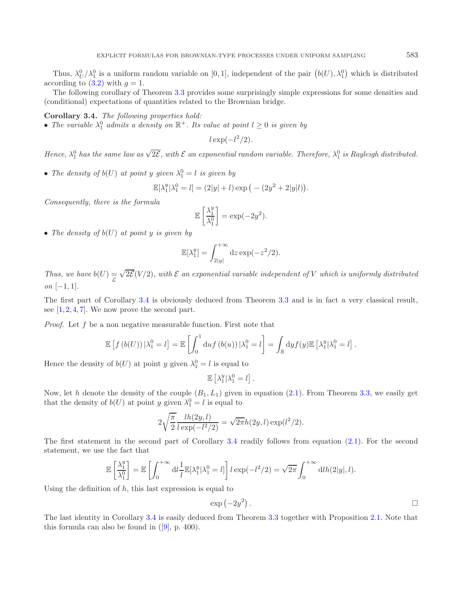Thus,  $\lambda_U^0/\lambda_1^0$  is a uniform random variable on [0, 1], independent of the pair  $(b(U), \lambda_1^0)$  which is distributed according to  $(3.2)$  with  $q = 1$ .

<span id="page-5-0"></span>The following corollary of Theorem [3.3](#page-4-2) provides some surprisingly simple expressions for some densities and (conditional) expectations of quantities related to the Brownian bridge.

#### **Corollary 3.4.** *The following properties hold:*

• The variable  $\lambda_1^0$  admits a density on  $\mathbb{R}^+$ . Its value at point  $l \geq 0$  is given by

$$
l\exp(-l^2/2).
$$

Hence,  $\lambda_1^0$  has the same law as  $\sqrt{2\mathcal{E}}$ , with  $\mathcal E$  an exponential random variable. Therefore,  $\lambda_1^0$  is Rayleigh distributed.

• The density of  $b(U)$  at point y given  $\lambda_1^0 = l$  is given by

$$
\mathbb{E}[\lambda_1^y | \lambda_1^0 = l] = (2|y| + l) \exp(- (2y^2 + 2|y|l)).
$$

*Consequently, there is the formula*

$$
\mathbb{E}\left[\frac{\lambda_1^y}{\lambda_1^0}\right] = \exp(-2y^2).
$$

• *The density of* b(U) *at point* y *is given by*

$$
\mathbb{E}[\lambda_1^y] = \int_{2|y|}^{+\infty} dz \exp(-z^2/2).
$$

*Thus, we have*  $b(U) =$ L √  $2\mathcal{E}(V/2)$ , with  $\mathcal E$  an exponential variable independent of V which is uniformly distributed *on* [−1, 1]*.*

The first part of Corollary [3.4](#page-5-0) is obviously deduced from Theorem [3.3](#page-4-2) and is in fact a very classical result, see  $[1, 2, 4, 7]$  $[1, 2, 4, 7]$  $[1, 2, 4, 7]$  $[1, 2, 4, 7]$  $[1, 2, 4, 7]$  $[1, 2, 4, 7]$  $[1, 2, 4, 7]$ . We now prove the second part.

*Proof.* Let f be a non negative measurable function. First note that

$$
\mathbb{E}\left[f\left(b(U)\right)|\lambda_1^0 = l\right] = \mathbb{E}\left[\int_0^1 \mathrm{d}uf\left(b(u)\right)|\lambda_1^0 = l\right] = \int_{\mathbb{R}} \mathrm{d}y f(y) \mathbb{E}\left[\lambda_1^y|\lambda_1^0 = l\right]
$$

Hence the density of  $b(U)$  at point y given  $\lambda_1^0 = l$  is equal to

$$
\mathbb{E}\left[\lambda_1^y|\lambda_1^0=l\right].
$$

Now, let h denote the density of the couple  $(B_1, L_1)$  given in equation  $(2.1)$ . From Theorem [3.3,](#page-4-2) we easily get that the density of  $b(U)$  at point y given  $\lambda_1^0 = l$  is equal to

$$
2\sqrt{\frac{\pi}{2}} \frac{lh(2y,l)}{l\exp(-l^2/2)} = \sqrt{2\pi}h(2y,l)\exp(l^2/2).
$$

The first statement in the second part of Corollary [3.4](#page-5-0) readily follows from equation [\(2.1\)](#page-1-2). For the second statement, we use the fact that

$$
\mathbb{E}\left[\frac{\lambda_1^y}{\lambda_1^0}\right] = \mathbb{E}\left[\int_0^{+\infty} \mathrm{d}l \frac{1}{l} \mathbb{E}[\lambda_1^y | \lambda_1^0 = l] \right] l \exp(-l^2/2) = \sqrt{2\pi} \int_0^{+\infty} \mathrm{d}l h(2|y|, l).
$$

Using the definition of  $h$ , this last expression is equal to

$$
\exp\left(-2y^2\right).
$$

.

The last identity in Corollary [3.4](#page-5-0) is easily deduced from Theorem [3.3](#page-4-2) together with Proposition [2.1.](#page-1-4) Note that this formula can also be found in  $([9], p. 400)$  $([9], p. 400)$  $([9], p. 400)$ .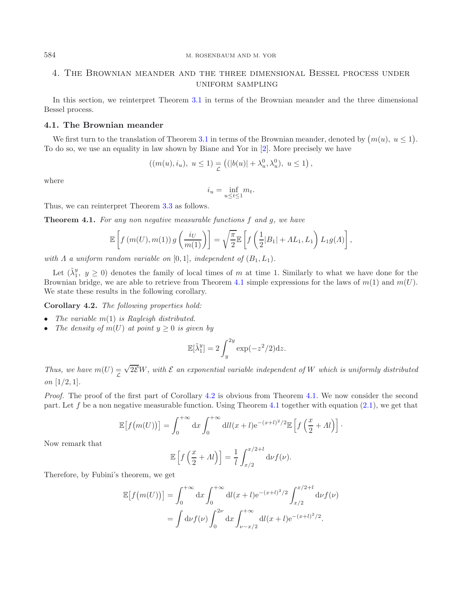# 4. The Brownian meander and the three dimensional Bessel process under uniform sampling

In this section, we reinterpret Theorem [3.1](#page-3-0) in terms of the Brownian meander and the three dimensional Bessel process.

#### **4.1. The Brownian meander**

We first turn to the translation of Theorem [3.1](#page-3-0) in terms of the Brownian meander, denoted by  $(m(u), u \le 1)$ . To do so, we use an equality in law shown by Biane and Yor in [\[2](#page-11-6)]. More precisely we have

$$
((m(u), i_u), u \le 1) \equiv ((|b(u)| + \lambda_u^0, \lambda_u^0), u \le 1),
$$

where

$$
i_u = \inf_{u \le t \le 1} m_t.
$$

<span id="page-6-1"></span>Thus, we can reinterpret Theorem [3.3](#page-4-2) as follows.

**Theorem 4.1.** *For any non negative measurable functions* f *and* g*, we have*

$$
\mathbb{E}\left[f(m(U),m(1))\,g\left(\frac{i_U}{m(1)}\right)\right] = \sqrt{\frac{\pi}{2}}\mathbb{E}\left[f\left(\frac{1}{2}|B_1| + AL_1,L_1\right)L_1g(\Lambda)\right],
$$

*with*  $\Lambda$  *a uniform random variable on* [0, 1]*, independent of*  $(B_1, L_1)$ *.* 

Let  $(\tilde{\lambda}_1^y, y \ge 0)$  denotes the family of local times of m at time 1. Similarly to what we have done for the Brownian bridge, we are able to retrieve from Theorem [4.1](#page-6-1) simple expressions for the laws of  $m(1)$  and  $m(U)$ . We state these results in the following corollary.

<span id="page-6-2"></span>**Corollary 4.2.** *The following properties hold:*

- *The variable* m(1) *is Rayleigh distributed.*
- *The density of*  $m(U)$  *at point*  $y \geq 0$  *is given by*

$$
\mathbb{E}[\tilde{\lambda}_1^y] = 2 \int_y^{2y} \exp(-z^2/2) \mathrm{d}z.
$$

*Thus, we have*  $m(U) =$ L √ 2EW*, with* E *an exponential variable independent of* W *which is uniformly distributed on* [1/2, 1]*.*

*Proof.* The proof of the first part of Corollary [4.2](#page-6-2) is obvious from Theorem [4.1.](#page-6-1) We now consider the second part. Let f be a non negative measurable function. Using Theorem [4.1](#page-6-1) together with equation  $(2.1)$ , we get that

$$
\mathbb{E}\left[f(m(U))\right] = \int_0^{+\infty} dx \int_0^{+\infty} dl l(x+l) e^{-(x+l)^2/2} \mathbb{E}\left[f\left(\frac{x}{2} + \Lambda l\right)\right].
$$

Now remark that

$$
\mathbb{E}\left[f\left(\frac{x}{2} + \Lambda l\right)\right] = \frac{1}{l} \int_{x/2}^{x/2 + l} \mathrm{d}\nu f(\nu).
$$

Therefore, by Fubini's theorem, we get

$$
\mathbb{E}[f(m(U))] = \int_0^{+\infty} dx \int_0^{+\infty} dl(x+l)e^{-(x+l)^2/2} \int_{x/2}^{x/2+l} d\nu f(\nu)
$$

$$
= \int d\nu f(\nu) \int_0^{2\nu} dx \int_{\nu-x/2}^{+\infty} dl(x+l)e^{-(x+l)^2/2}.
$$

<span id="page-6-0"></span>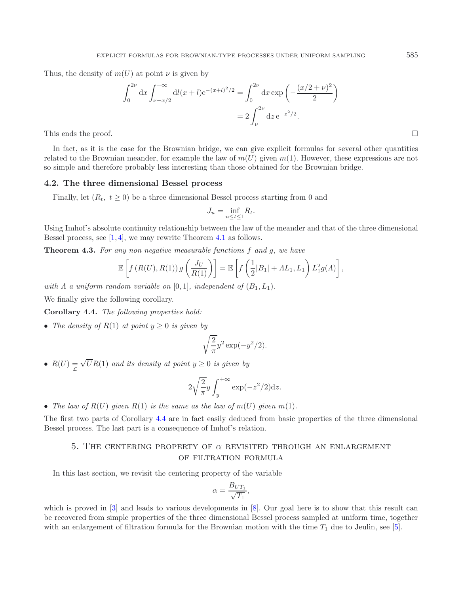Thus, the density of  $m(U)$  at point  $\nu$  is given by

$$
\int_0^{2\nu} dx \int_{\nu - x/2}^{+\infty} dl(x+l)e^{-(x+l)^2/2} = \int_0^{2\nu} dx \exp\left(-\frac{(x/2+\nu)^2}{2}\right)
$$

$$
= 2 \int_{\nu}^{2\nu} dz e^{-z^2/2}.
$$

This ends the proof.  $\Box$ 

In fact, as it is the case for the Brownian bridge, we can give explicit formulas for several other quantities related to the Brownian meander, for example the law of  $m(U)$  given  $m(1)$ . However, these expressions are not so simple and therefore probably less interesting than those obtained for the Brownian bridge.

#### **4.2. The three dimensional Bessel process**

Finally, let  $(R_t, t \geq 0)$  be a three dimensional Bessel process starting from 0 and

$$
J_u = \inf_{u \le t \le 1} R_t.
$$

Using Imhof's absolute continuity relationship between the law of the meander and that of the three dimensional Bessel process, see [\[1](#page-11-2), [4](#page-11-7)], we may rewrite Theorem [4.1](#page-6-1) as follows.

**Theorem 4.3.** *For any non negative measurable functions* f *and* g*, we have*

$$
\mathbb{E}\left[f\left(R(U),R(1)\right)g\left(\frac{J_U}{R(1)}\right)\right] = \mathbb{E}\left[f\left(\frac{1}{2}|B_1| + \Lambda L_1, L_1\right)L_1^2g(\Lambda)\right],
$$

*with*  $\Lambda$  *a uniform random variable on* [0, 1]*, independent of*  $(B_1, L_1)$ *.* 

<span id="page-7-1"></span>We finally give the following corollary.

L

**Corollary 4.4.** *The following properties hold:*

• *The density of*  $R(1)$  *at point*  $y \geq 0$  *is given by* 

$$
\sqrt{\frac{2}{\pi}}y^2 \exp(-y^2/2).
$$

•  $R(U) =$ √  $UR(1)$  *and its density at point*  $y \geq 0$  *is given by* 

$$
2\sqrt{\frac{2}{\pi}}y\int_{y}^{+\infty}\exp(-z^2/2)dz.
$$

• The law of  $R(U)$  given  $R(1)$  is the same as the law of  $m(U)$  given  $m(1)$ .

<span id="page-7-0"></span>The first two parts of Corollary [4.4](#page-7-1) are in fact easily deduced from basic properties of the three dimensional Bessel process. The last part is a consequence of Imhof's relation.

# 5. THE CENTERING PROPERTY OF  $\alpha$  revisited through an enlargement of filtration formula

In this last section, we revisit the centering property of the variable

$$
\alpha = \frac{B_{UT_1}}{\sqrt{T_1}},
$$

which is proved in [\[3](#page-11-0)] and leads to various developments in [\[8\]](#page-11-1). Our goal here is to show that this result can be recovered from simple properties of the three dimensional Bessel process sampled at uniform time, together with an enlargement of filtration formula for the Brownian motion with the time  $T_1$  due to Jeulin, see [\[5](#page-11-4)].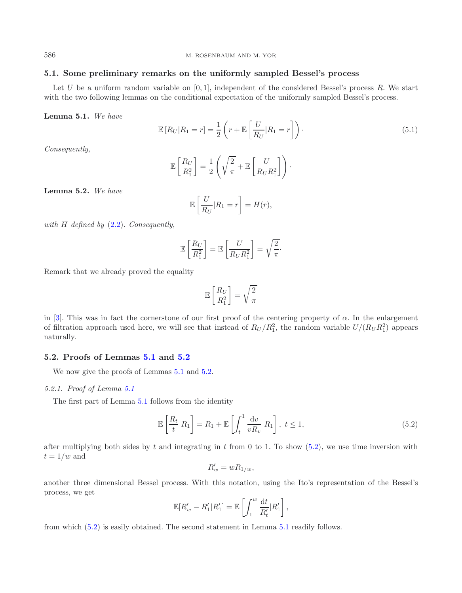# **5.1. Some preliminary remarks on the uniformly sampled Bessel's process**

<span id="page-8-0"></span>Let U be a uniform random variable on  $[0, 1]$ , independent of the considered Bessel's process R. We start with the two following lemmas on the conditional expectation of the uniformly sampled Bessel's process.

**Lemma 5.1.** *We have*

$$
\mathbb{E}\left[R_U|R_1=r\right] = \frac{1}{2}\left(r + \mathbb{E}\left[\frac{U}{R_U}|R_1=r\right]\right). \tag{5.1}
$$

*Consequently,*

$$
\mathbb{E}\left[\frac{R_U}{R_1^2}\right] = \frac{1}{2}\left(\sqrt{\frac{2}{\pi}} + \mathbb{E}\left[\frac{U}{R_U R_1^2}\right]\right).
$$

<span id="page-8-1"></span>**Lemma 5.2.** *We have*

$$
\mathbb{E}\left[\frac{U}{R_U}|R_1=r\right] = H(r),
$$

*with* H *defined by* [\(2.2\)](#page-1-5)*. Consequently,*

$$
\mathbb{E}\left[\frac{R_U}{R_1^2}\right] = \mathbb{E}\left[\frac{U}{R_U R_1^2}\right] = \sqrt{\frac{2}{\pi}}.
$$

Remark that we already proved the equality

<span id="page-8-2"></span>
$$
\mathbb{E}\left[\frac{R_U}{R_1^2}\right] = \sqrt{\frac{2}{\pi}}
$$

in [\[3\]](#page-11-0). This was in fact the cornerstone of our first proof of the centering property of  $\alpha$ . In the enlargement of filtration approach used here, we will see that instead of  $R_U/R_1^2$ , the random variable  $U/(R_U R_1^2)$  appears naturally.

#### **5.2. Proofs of Lemmas [5.1](#page-8-0) and [5.2](#page-8-1)**

We now give the proofs of Lemmas  $5.1$  and  $5.2$ .

#### *5.2.1. Proof of Lemma [5.1](#page-8-0)*

The first part of Lemma [5.1](#page-8-0) follows from the identity

$$
\mathbb{E}\left[\frac{R_t}{t}|R_1\right] = R_1 + \mathbb{E}\left[\int_t^1 \frac{\mathrm{d}v}{vR_v}|R_1\right], \ t \le 1,\tag{5.2}
$$

after multiplying both sides by t and integrating in t from 0 to 1. To show  $(5.2)$ , we use time inversion with  $t = 1/w$  and

$$
R'_w = wR_{1/w},
$$

another three dimensional Bessel process. With this notation, using the Ito's representation of the Bessel's process, we get

$$
\mathbb{E}[R'_w - R'_1 | R'_1] = \mathbb{E}\left[\int_1^w \frac{\mathrm{d}t}{R'_t} | R'_1\right],
$$

from which [\(5.2\)](#page-8-2) is easily obtained. The second statement in Lemma [5.1](#page-8-0) readily follows.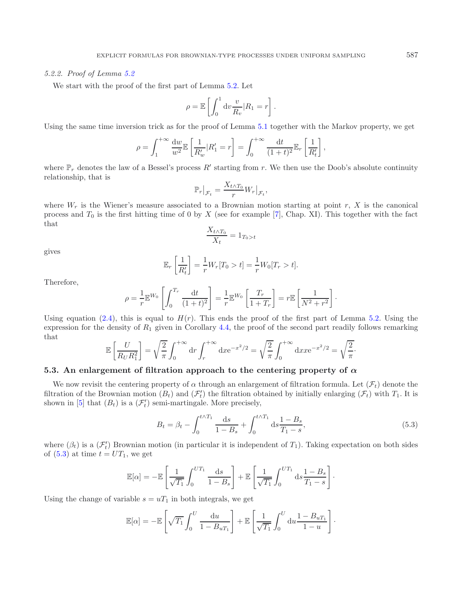#### *5.2.2. Proof of Lemma [5.2](#page-8-1)*

We start with the proof of the first part of Lemma [5.2.](#page-8-1) Let

$$
\rho = \mathbb{E}\left[\int_0^1 \mathrm{d}v \frac{v}{R_v} |R_1 = r\right].
$$

Using the same time inversion trick as for the proof of Lemma [5.1](#page-8-0) together with the Markov property, we get

$$
\rho = \int_1^{+\infty} \frac{\mathrm{d}w}{w^2} \mathbb{E}\left[\frac{1}{R'_w} | R'_1 = r\right] = \int_0^{+\infty} \frac{\mathrm{d}t}{(1+t)^2} \mathbb{E}_r\left[\frac{1}{R'_t}\right],
$$

where  $\mathbb{P}_r$  denotes the law of a Bessel's process R' starting from r. We then use the Doob's absolute continuity relationship, that is

$$
\mathbb{P}_r\big|_{\mathcal{F}_t} = \frac{X_{t \wedge T_0}}{r} W_r\big|_{\mathcal{F}_t},
$$

where  $W_r$  is the Wiener's measure associated to a Brownian motion starting at point r, X is the canonical process and  $T_0$  is the first hitting time of 0 by X (see for example [\[7](#page-11-5)], Chap. XI). This together with the fact that

$$
\frac{X_{t \wedge T_0}}{X_t} = 1_{T_0 > t}
$$

gives

<span id="page-9-0"></span>
$$
\mathbb{E}_r\left[\frac{1}{R'_t}\right] = \frac{1}{r}W_r[T_0 > t] = \frac{1}{r}W_0[T_r > t].
$$

Therefore,

$$
\rho = \frac{1}{r} \mathbb{E}^{W_0} \left[ \int_0^{T_r} \frac{\mathrm{d}t}{(1+t)^2} \right] = \frac{1}{r} \mathbb{E}^{W_0} \left[ \frac{T_r}{1+T_r} \right] = r \mathbb{E} \left[ \frac{1}{N^2 + r^2} \right].
$$

Using equation [\(2.4\)](#page-1-6), this is equal to  $H(r)$ . This ends the proof of the first part of Lemma [5.2.](#page-8-1) Using the expression for the density of  $R_1$  given in Corollary [4.4,](#page-7-1) the proof of the second part readily follows remarking that

$$
\mathbb{E}\left[\frac{U}{R_U R_1^2}\right] = \sqrt{\frac{2}{\pi}} \int_0^{+\infty} dr \int_r^{+\infty} dx e^{-x^2/2} = \sqrt{\frac{2}{\pi}} \int_0^{+\infty} dx x e^{-x^2/2} = \sqrt{\frac{2}{\pi}}.
$$

## **5.3.** An enlargement of filtration approach to the centering property of  $\alpha$

We now revisit the centering property of  $\alpha$  through an enlargement of filtration formula. Let  $(\mathcal{F}_t)$  denote the filtration of the Brownian motion  $(B_t)$  and  $(\mathcal{F}'_t)$  the filtration obtained by initially enlarging  $(\mathcal{F}_t)$  with  $T_1$ . It is shown in [\[5](#page-11-4)] that  $(B_t)$  is a  $(\mathcal{F}'_t)$  semi-martingale. More precisely,

$$
B_t = \beta_t - \int_0^{t \wedge T_1} \frac{\mathrm{d}s}{1 - B_s} + \int_0^{t \wedge T_1} \mathrm{d}s \frac{1 - B_s}{T_1 - s},\tag{5.3}
$$

where  $(\beta_t)$  is a  $(\mathcal{F}'_t)$  Brownian motion (in particular it is independent of  $T_1$ ). Taking expectation on both sides of  $(5.3)$  at time  $t = UT_1$ , we get

$$
\mathbb{E}[\alpha] = -\mathbb{E}\left[\frac{1}{\sqrt{T_1}}\int_0^{UT_1} \frac{\mathrm{d}s}{1-B_s}\right] + \mathbb{E}\left[\frac{1}{\sqrt{T_1}}\int_0^{UT_1} \mathrm{d}s \frac{1-B_s}{T_1-s}\right].
$$

Using the change of variable  $s = uT_1$  in both integrals, we get

$$
\mathbb{E}[\alpha] = -\mathbb{E}\left[\sqrt{T_1} \int_0^U \frac{\mathrm{d}u}{1 - B_u T_1}\right] + \mathbb{E}\left[\frac{1}{\sqrt{T_1}} \int_0^U \mathrm{d}u \frac{1 - B_u T_1}{1 - u}\right].
$$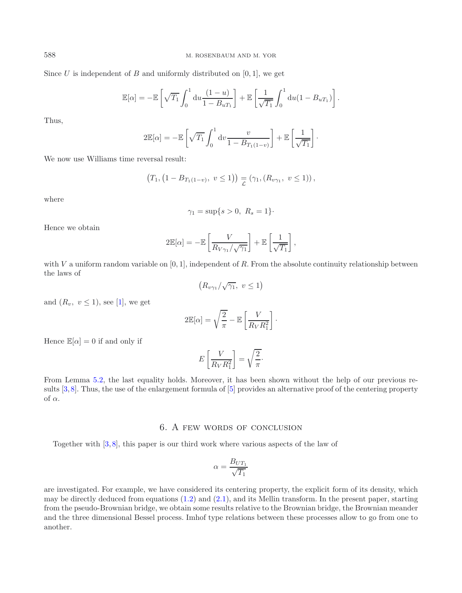Since U is independent of B and uniformly distributed on  $[0, 1]$ , we get

$$
\mathbb{E}[\alpha] = -\mathbb{E}\left[\sqrt{T_1} \int_0^1 du \frac{(1-u)}{1-B_uT_1}\right] + \mathbb{E}\left[\frac{1}{\sqrt{T_1}} \int_0^1 du (1-B_uT_1)\right].
$$

Thus,

$$
2\mathbb{E}[\alpha] = -\mathbb{E}\left[\sqrt{T_1} \int_0^1 \mathrm{d}v \frac{v}{1 - B_{T_1(1-v)}}\right] + \mathbb{E}\left[\frac{1}{\sqrt{T_1}}\right].
$$

We now use Williams time reversal result:

$$
(T_1, (1 - B_{T_1(1-v)}, v \le 1)) \equiv (\gamma_1, (R_{v\gamma_1}, v \le 1)),
$$

where

$$
\gamma_1 = \sup\{s > 0, \ R_s = 1\}.
$$

Hence we obtain

$$
2\mathbb{E}[\alpha] = -\mathbb{E}\left[\frac{V}{R_{V\gamma_1}/\sqrt{\gamma_1}}\right] + \mathbb{E}\left[\frac{1}{\sqrt{T_1}}\right],
$$

with V a uniform random variable on  $[0, 1]$ , independent of R. From the absolute continuity relationship between the laws of

$$
(R_{v\gamma_1}/\sqrt{\gamma_1},\ v\leq 1)
$$

and  $(R_v, v \leq 1)$ , see [\[1](#page-11-2)], we get

$$
2\mathbb{E}[\alpha] = \sqrt{\frac{2}{\pi}} - \mathbb{E}\left[\frac{V}{R_V R_1^2}\right].
$$

Hence  $\mathbb{E}[\alpha] = 0$  if and only if

$$
E\left[\frac{V}{R_V R_1^2}\right] = \sqrt{\frac{2}{\pi}}.
$$

From Lemma [5.2,](#page-8-1) the last equality holds. Moreover, it has been shown without the help of our previous results [\[3](#page-11-0), [8](#page-11-1)]. Thus, the use of the enlargement formula of [\[5\]](#page-11-4) provides an alternative proof of the centering property of  $\alpha$ .

# 6. A few words of conclusion

Together with [\[3](#page-11-0), [8](#page-11-1)], this paper is our third work where various aspects of the law of

$$
\alpha = \frac{B_{UT_1}}{\sqrt{T_1}}
$$

are investigated. For example, we have considered its centering property, the explicit form of its density, which may be directly deduced from equations  $(1.2)$  and  $(2.1)$ , and its Mellin transform. In the present paper, starting from the pseudo-Brownian bridge, we obtain some results relative to the Brownian bridge, the Brownian meander and the three dimensional Bessel process. Imhof type relations between these processes allow to go from one to another.